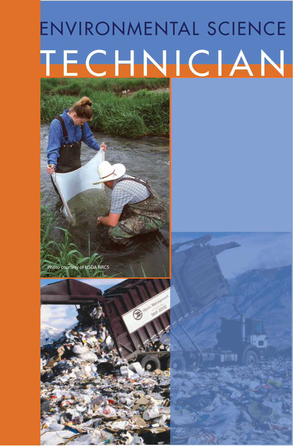# ENVIRONMENTAL SCIENCE **TECHNICIAN**